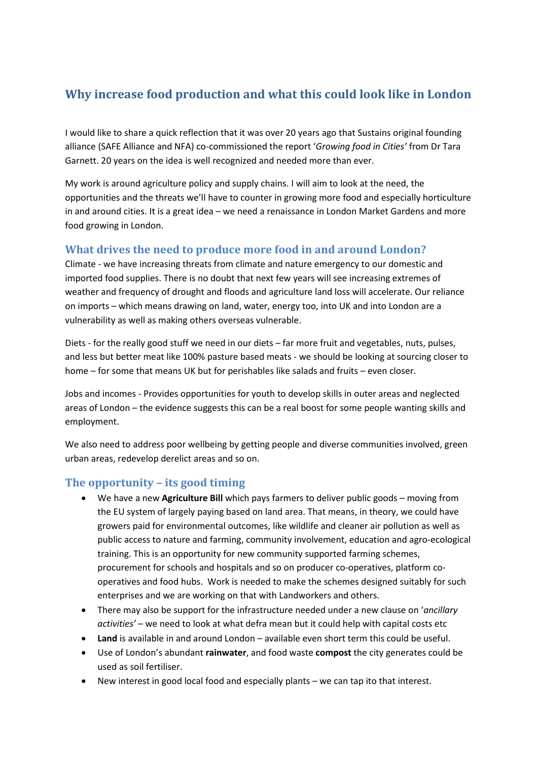# **Why increase food production and what this could look like in London**

I would like to share a quick reflection that it was over 20 years ago that Sustains original founding alliance (SAFE Alliance and NFA) co-commissioned the report '*Growing food in Cities'* from Dr Tara Garnett. 20 years on the idea is well recognized and needed more than ever.

My work is around agriculture policy and supply chains. I will aim to look at the need, the opportunities and the threats we'll have to counter in growing more food and especially horticulture in and around cities. It is a great idea – we need a renaissance in London Market Gardens and more food growing in London.

### **What drives the need to produce more food in and around London?**

Climate - we have increasing threats from climate and nature emergency to our domestic and imported food supplies. There is no doubt that next few years will see increasing extremes of weather and frequency of drought and floods and agriculture land loss will accelerate. Our reliance on imports – which means drawing on land, water, energy too, into UK and into London are a vulnerability as well as making others overseas vulnerable.

Diets - for the really good stuff we need in our diets – far more fruit and vegetables, nuts, pulses, and less but better meat like 100% pasture based meats - we should be looking at sourcing closer to home – for some that means UK but for perishables like salads and fruits – even closer.

Jobs and incomes - Provides opportunities for youth to develop skills in outer areas and neglected areas of London – the evidence suggests this can be a real boost for some people wanting skills and employment.

We also need to address poor wellbeing by getting people and diverse communities involved, green urban areas, redevelop derelict areas and so on.

## **The opportunity – its good timing**

- We have a new **Agriculture Bill** which pays farmers to deliver public goods moving from the EU system of largely paying based on land area. That means, in theory, we could have growers paid for environmental outcomes, like wildlife and cleaner air pollution as well as public access to nature and farming, community involvement, education and agro-ecological training. This is an opportunity for new community supported farming schemes, procurement for schools and hospitals and so on producer co-operatives, platform cooperatives and food hubs. Work is needed to make the schemes designed suitably for such enterprises and we are working on that with Landworkers and others.
- There may also be support for the infrastructure needed under a new clause on '*ancillary activities'* – we need to look at what defra mean but it could help with capital costs etc
- **Land** is available in and around London available even short term this could be useful.
- Use of London's abundant **rainwater**, and food waste **compost** the city generates could be used as soil fertiliser.
- New interest in good local food and especially plants we can tap ito that interest.